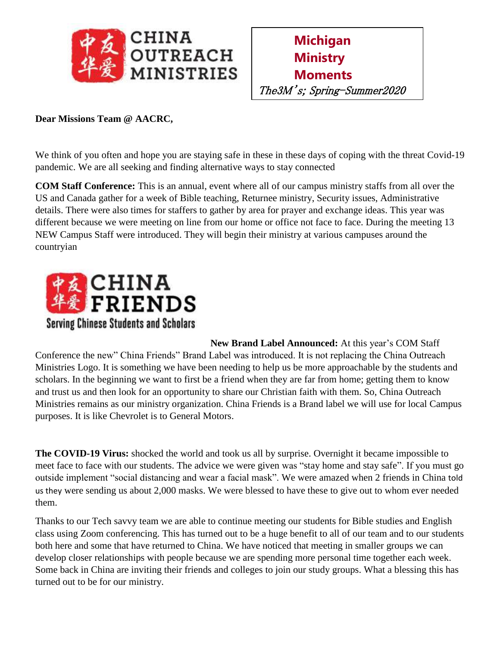



## **Dear Missions Team @ AACRC,**

We think of you often and hope you are staying safe in these in these days of coping with the threat Covid-19 pandemic. We are all seeking and finding alternative ways to stay connected

**COM Staff Conference:** This is an annual, event where all of our campus ministry staffs from all over the US and Canada gather for a week of Bible teaching, Returnee ministry, Security issues, Administrative details. There were also times for staffers to gather by area for prayer and exchange ideas. This year was different because we were meeting on line from our home or office not face to face. During the meeting 13 NEW Campus Staff were introduced. They will begin their ministry at various campuses around the countryian



**New Brand Label Announced:** At this year's COM Staff Conference the new" China Friends" Brand Label was introduced. It is not replacing the China Outreach Ministries Logo. It is something we have been needing to help us be more approachable by the students and scholars. In the beginning we want to first be a friend when they are far from home; getting them to know and trust us and then look for an opportunity to share our Christian faith with them. So, China Outreach Ministries remains as our ministry organization. China Friends is a Brand label we will use for local Campus purposes. It is like Chevrolet is to General Motors.

**The COVID-19 Virus:** shocked the world and took us all by surprise. Overnight it became impossible to meet face to face with our students. The advice we were given was "stay home and stay safe". If you must go outside implement "social distancing and wear a facial mask". We were amazed when 2 friends in China told us they were sending us about 2,000 masks. We were blessed to have these to give out to whom ever needed them.

Thanks to our Tech savvy team we are able to continue meeting our students for Bible studies and English class using Zoom conferencing. This has turned out to be a huge benefit to all of our team and to our students both here and some that have returned to China. We have noticed that meeting in smaller groups we can develop closer relationships with people because we are spending more personal time together each week. Some back in China are inviting their friends and colleges to join our study groups. What a blessing this has turned out to be for our ministry.